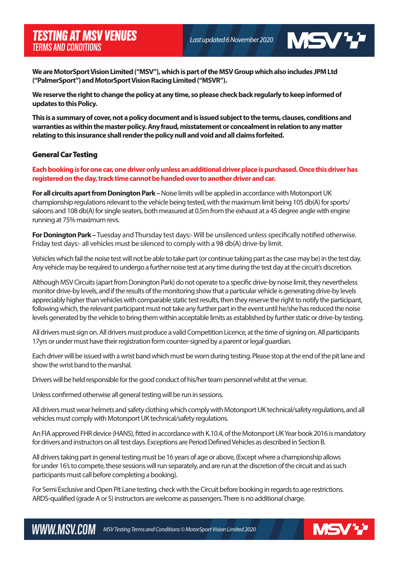*Last updated 6 November 2020* 

**MSVV** 

**We are MotorSport Vision Limited ("MSV"), which is part of the MSV Group which also includes JPM Ltd ("PalmerSport") and MotorSport Vision Racing Limited ("MSVR").** 

**We reserve the right to change the policy at any time, so please check back regularly to keep informed of updates to this Policy.** 

**This is a summary of cover, not a policy document and is issued subject to the terms, clauses, conditions and warranties as within the master policy. Any fraud, misstatement or concealment in relation to any matter relating to this insurance shall render the policy null and void and all claims forfeited.**

## General Car Testing

**Each booking is for one car, one driver only unless an additional driver place is purchased. Once this driver has registered on the day, track time cannot be handed over to another driver and car.** 

**For all circuits apart from Donington Park –** Noise limits will be applied in accordance with Motorsport UK championship regulations relevant to the vehicle being tested, with the maximum limit being 105 db(A) for sports/ saloons and 108 db(A) for single seaters, both measured at 0.5m from the exhaust at a 45 degree angle with engine running at 75% maximum revs.

For Donington Park – Tuesday and Thursday test days:- Will be unsilenced unless specifically notified otherwise. Friday test days:- all vehicles must be silenced to comply with a 98 db(A) drive-by limit.

Vehicles which fail the noise test will not be able to take part (or continue taking part as the case may be) in the test day. Any vehicle may be required to undergo a further noise test at any time during the test day at the circuit's discretion.

Although MSV Circuits (apart from Donington Park) do not operate to a specific drive-by noise limit, they nevertheless monitor drive-by levels, and if the results of the monitoring show that a particular vehicle is generating drive-by levels appreciably higher than vehicles with comparable static test results, then they reserve the right to notify the participant, following which, the relevant participant must not take any further part in the event until he/she has reduced the noise levels generated by the vehicle to bring them within acceptable limits as established by further static or drive-by testing.

All drivers must sign on. All drivers must produce a valid Competition Licence, at the time of signing on. All participants 17yrs or under must have their registration form counter-signed by a parent or legal guardian.

Each driver will be issued with a wrist band which must be worn during testing. Please stop at the end of the pit lane and show the wrist band to the marshal.

Drivers will be held responsible for the good conduct of his/her team personnel whilst at the venue.

Unless confirmed otherwise all general testing will be run in sessions.

All drivers must wear helmets and safety clothing which comply with Motorsport UK technical/safety regulations, and all vehicles must comply with Motorsport UK technical/safety regulations.

An FIA approved FHR device (HANS), fitted in accordance with K.10.4, of the Motorsport UK Year book 2016 is mandatory for drivers and instructors on all test days. Exceptions are Period Defined Vehicles as described in Section B.

All drivers taking part in general testing must be 16 years of age or above, (Except where a championship allows for under 16's to compete, these sessions will run separately, and are run at the discretion of the circuit and as such participants must call before completing a booking).

For Semi Exclusive and Open Pit Lane testing, check with the Circuit before booking in regards to age restrictions. ARDS-qualified (grade A or S) instructors are welcome as passengers. There is no additional charge.

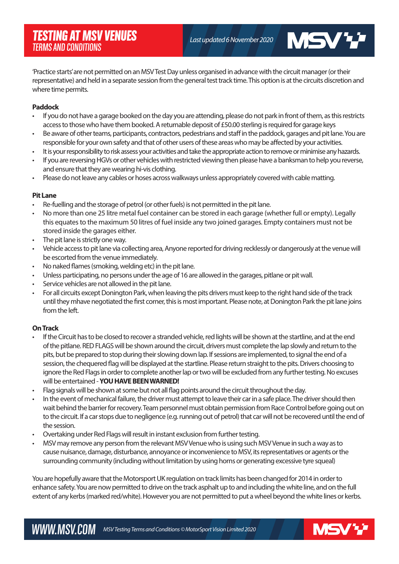**MSVV** 

'Practice starts' are not permitted on an MSV Test Day unless organised in advance with the circuit manager (or their representative) and held in a separate session from the general test track time. This option is at the circuits discretion and where time permits.

### **Paddock**

- If you do not have a garage booked on the day you are attending, please do not park in front of them, as this restricts access to those who have them booked. A returnable deposit of £50.00 sterling is required for garage keys
- Be aware of other teams, participants, contractors, pedestrians and staff in the paddock, garages and pit lane. You are responsible for your own safety and that of other users of these areas who may be affected by your activities.
- It is your responsibility to risk assess your activities and take the appropriate action to remove or minimise any hazards.
- If you are reversing HGVs or other vehicles with restricted viewing then please have a banksman to help you reverse, and ensure that they are wearing hi-vis clothing.
- Please do not leave any cables or hoses across walkways unless appropriately covered with cable matting.

## **Pit Lane**

- Re-fuelling and the storage of petrol (or other fuels) is not permitted in the pit lane.
- No more than one 25 litre metal fuel container can be stored in each garage (whether full or empty). Legally this equates to the maximum 50 litres of fuel inside any two joined garages. Empty containers must not be stored inside the garages either.
- The pit lane is strictly one way.
- Vehicle access to pit lane via collecting area, Anyone reported for driving recklessly or dangerously at the venue will be escorted from the venue immediately.
- No naked flames (smoking, welding etc) in the pit lane.
- Unless participating, no persons under the age of 16 are allowed in the garages, pitlane or pit wall.
- Service vehicles are not allowed in the pit lane.
- For all circuits except Donington Park, when leaving the pits drivers must keep to the right hand side of the track until they mhave negotiated the first corner, this is most important. Please note, at Donington Park the pit lane joins from the left.

# **On Track**

- If the Circuit has to be closed to recover a stranded vehicle, red lights will be shown at the startline, and at the end of the pitlane. RED FLAGS will be shown around the circuit, drivers must complete the lap slowly and return to the pits, but be prepared to stop during their slowing down lap. If sessions are implemented, to signal the end of a session, the chequered flag will be displayed at the startline. Please return straight to the pits. Drivers choosing to ignore the Red Flags in order to complete another lap or two will be excluded from any further testing. No excuses will be entertained - **YOU HAVE BEEN WARNED!**
- Flag signals will be shown at some but not all flag points around the circuit throughout the day.
- In the event of mechanical failure, the driver must attempt to leave their car in a safe place. The driver should then wait behind the barrier for recovery. Team personnel must obtain permission from Race Control before going out on to the circuit. If a car stops due to negligence (e.g. running out of petrol) that car will not be recovered until the end of the session.
- Overtaking under Red Flags will result in instant exclusion from further testing.
- MSV may remove any person from the relevant MSV Venue who is using such MSV Venue in such a way as to cause nuisance, damage, disturbance, annoyance or inconvenience to MSV, its representatives or agents or the surrounding community (including without limitation by using horns or generating excessive tyre squeal)

You are hopefully aware that the Motorsport UK regulation on track limits has been changed for 2014 in order to enhance safety. You are now permitted to drive on the track asphalt up to and including the white line, and on the full extent of any kerbs (marked red/white). However you are not permitted to put a wheel beyond the white lines or kerbs.

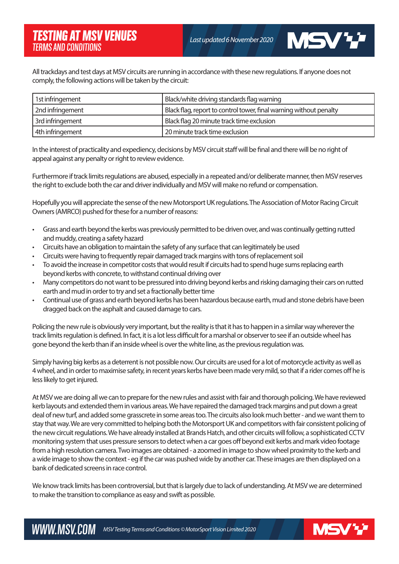**MSVY** 

All trackdays and test days at MSV circuits are running in accordance with these new regulations. If anyone does not comply, the following actions will be taken by the circuit:

| 1st infringement | Black/white driving standards flag warning                         |
|------------------|--------------------------------------------------------------------|
| 2nd infringement | Black flag, report to control tower, final warning without penalty |
| 3rd infringement | Black flag 20 minute track time exclusion                          |
| 4th infringement | 20 minute track time exclusion                                     |

In the interest of practicality and expediency, decisions by MSV circuit staff will be final and there will be no right of appeal against any penalty or right to review evidence.

Furthermore if track limits regulations are abused, especially in a repeated and/or deliberate manner, then MSV reserves the right to exclude both the car and driver individually and MSV will make no refund or compensation.

Hopefully you will appreciate the sense of the new Motorsport UK regulations. The Association of Motor Racing Circuit Owners (AMRCO) pushed for these for a number of reasons:

- Grass and earth beyond the kerbs was previously permitted to be driven over, and was continually getting rutted and muddy, creating a safety hazard
- Circuits have an obligation to maintain the safety of any surface that can legitimately be used
- Circuits were having to frequently repair damaged track margins with tons of replacement soil
- To avoid the increase in competitor costs that would result if circuits had to spend huge sums replacing earth beyond kerbs with concrete, to withstand continual driving over
- Many competitors do not want to be pressured into driving beyond kerbs and risking damaging their cars on rutted earth and mud in order to try and set a fractionally better time
- Continual use of grass and earth beyond kerbs has been hazardous because earth, mud and stone debris have been dragged back on the asphalt and caused damage to cars.

Policing the new rule is obviously very important, but the reality is that it has to happen in a similar way wherever the track limits regulation is defined. In fact, it is a lot less difficult for a marshal or observer to see if an outside wheel has gone beyond the kerb than if an inside wheel is over the white line, as the previous regulation was.

Simply having big kerbs as a deterrent is not possible now. Our circuits are used for a lot of motorcycle activity as well as 4 wheel, and in order to maximise safety, in recent years kerbs have been made very mild, so that if a rider comes off he is less likely to get injured.

At MSV we are doing all we can to prepare for the new rules and assist with fair and thorough policing. We have reviewed kerb layouts and extended them in various areas. We have repaired the damaged track margins and put down a great deal of new turf, and added some grasscrete in some areas too. The circuits also look much better - and we want them to stay that way. We are very committed to helping both the Motorsport UK and competitors with fair consistent policing of the new circuit regulations. We have already installed at Brands Hatch, and other circuits will follow, a sophisticated CCTV monitoring system that uses pressure sensors to detect when a car goes off beyond exit kerbs and mark video footage from a high resolution camera. Two images are obtained - a zoomed in image to show wheel proximity to the kerb and a wide image to show the context - eg if the car was pushed wide by another car. These images are then displayed on a bank of dedicated screens in race control.

We know track limits has been controversial, but that is largely due to lack of understanding. At MSV we are determined to make the transition to compliance as easy and swift as possible.

WWW.MSV.COM *MSV Testing Terms and Conditions © MotorSport Vision Limited 2020*